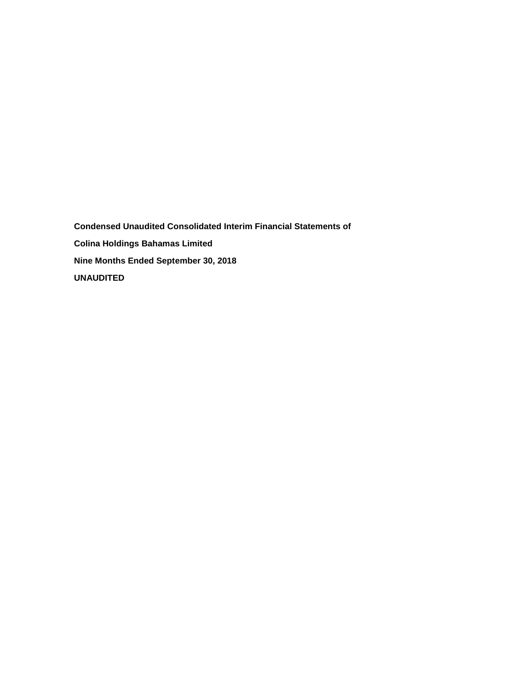**Condensed Unaudited Consolidated Interim Financial Statements of Colina Holdings Bahamas Limited Nine Months Ended September 30, 2018 UNAUDITED**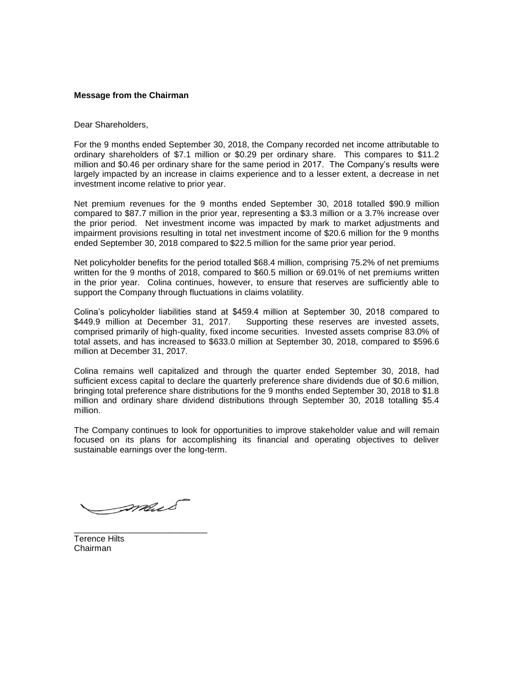## **Message from the Chairman**

## Dear Shareholders,

For the 9 months ended September 30, 2018, the Company recorded net income attributable to ordinary shareholders of \$7.1 million or \$0.29 per ordinary share. This compares to \$11.2 million and \$0.46 per ordinary share for the same period in 2017. The Company's results were largely impacted by an increase in claims experience and to a lesser extent, a decrease in net investment income relative to prior year.

Net premium revenues for the 9 months ended September 30, 2018 totalled \$90.9 million compared to \$87.7 million in the prior year, representing a \$3.3 million or a 3.7% increase over the prior period. Net investment income was impacted by mark to market adjustments and impairment provisions resulting in total net investment income of \$20.6 million for the 9 months ended September 30, 2018 compared to \$22.5 million for the same prior year period.

Net policyholder benefits for the period totalled \$68.4 million, comprising 75.2% of net premiums written for the 9 months of 2018, compared to \$60.5 million or 69.01% of net premiums written in the prior year. Colina continues, however, to ensure that reserves are sufficiently able to support the Company through fluctuations in claims volatility.

Colina's policyholder liabilities stand at \$459.4 million at September 30, 2018 compared to \$449.9 million at December 31, 2017. Supporting these reserves are invested assets, comprised primarily of high-quality, fixed income securities. Invested assets comprise 83.0% of total assets, and has increased to \$633.0 million at September 30, 2018, compared to \$596.6 million at December 31, 2017.

Colina remains well capitalized and through the quarter ended September 30, 2018, had sufficient excess capital to declare the quarterly preference share dividends due of \$0.6 million, bringing total preference share distributions for the 9 months ended September 30, 2018 to \$1.8 million and ordinary share dividend distributions through September 30, 2018 totalling \$5.4 million.

The Company continues to look for opportunities to improve stakeholder value and will remain focused on its plans for accomplishing its financial and operating objectives to deliver sustainable earnings over the long-term.

mail

\_\_\_\_\_\_\_\_\_\_\_\_\_\_\_\_\_\_\_\_\_\_\_\_\_\_\_\_

Terence Hilts Chairman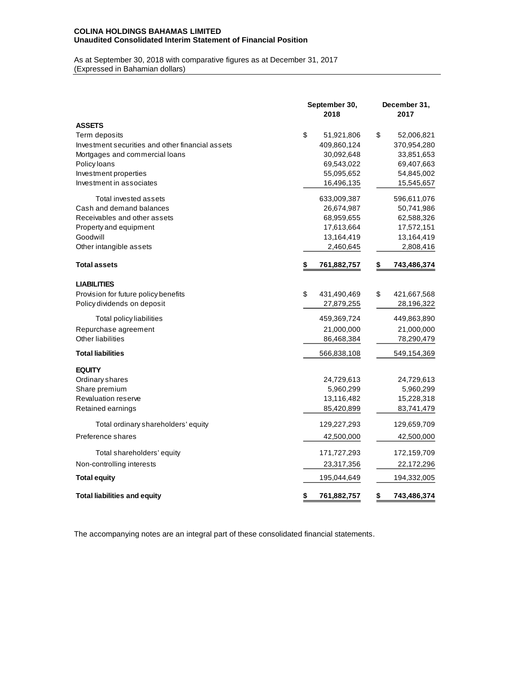## **COLINA HOLDINGS BAHAMAS LIMITED Unaudited Consolidated Interim Statement of Financial Position**

As at September 30, 2018 with comparative figures as at December 31, 2017 (Expressed in Bahamian dollars)

|                                                  | September 30,<br>2018 | December 31,<br>2017 |
|--------------------------------------------------|-----------------------|----------------------|
| <b>ASSETS</b>                                    |                       |                      |
| Term deposits                                    | \$<br>51,921,806      | \$<br>52,006,821     |
| Investment securities and other financial assets | 409,860,124           | 370,954,280          |
| Mortgages and commercial loans                   | 30,092,648            | 33,851,653           |
| Policy loans                                     | 69,543,022            | 69,407,663           |
| Investment properties                            | 55,095,652            | 54,845,002           |
| Investment in associates                         | 16,496,135            | 15,545,657           |
| Total invested assets                            | 633,009,387           | 596,611,076          |
| Cash and demand balances                         | 26,674,987            | 50,741,986           |
| Receivables and other assets                     | 68,959,655            | 62,588,326           |
| Property and equipment                           | 17,613,664            | 17,572,151           |
| Goodwill                                         | 13,164,419            | 13,164,419           |
| Other intangible assets                          | 2,460,645             | 2,808,416            |
| <b>Total assets</b>                              | \$<br>761,882,757     | \$<br>743,486,374    |
| <b>LIABILITIES</b>                               |                       |                      |
| Provision for future policy benefits             | \$<br>431,490,469     | \$<br>421,667,568    |
| Policy dividends on deposit                      | 27,879,255            | 28,196,322           |
| Total policy liabilities                         | 459,369,724           | 449,863,890          |
| Repurchase agreement                             | 21,000,000            | 21,000,000           |
| Other liabilities                                | 86,468,384            | 78,290,479           |
| <b>Total liabilities</b>                         | 566,838,108           | 549,154,369          |
| <b>EQUITY</b>                                    |                       |                      |
| Ordinary shares                                  | 24,729,613            | 24,729,613           |
| Share premium                                    | 5,960,299             | 5,960,299            |
| <b>Revaluation reserve</b>                       | 13,116,482            | 15,228,318           |
| Retained earnings                                | 85,420,899            | 83,741,479           |
| Total ordinary shareholders' equity              | 129,227,293           | 129,659,709          |
| Preference shares                                | 42,500,000            | 42,500,000           |
| Total shareholders' equity                       | 171,727,293           | 172,159,709          |
| Non-controlling interests                        | 23,317,356            | 22,172,296           |
| <b>Total equity</b>                              | 195,044,649           | 194,332,005          |
| <b>Total liabilities and equity</b>              | \$<br>761,882,757     | \$<br>743,486,374    |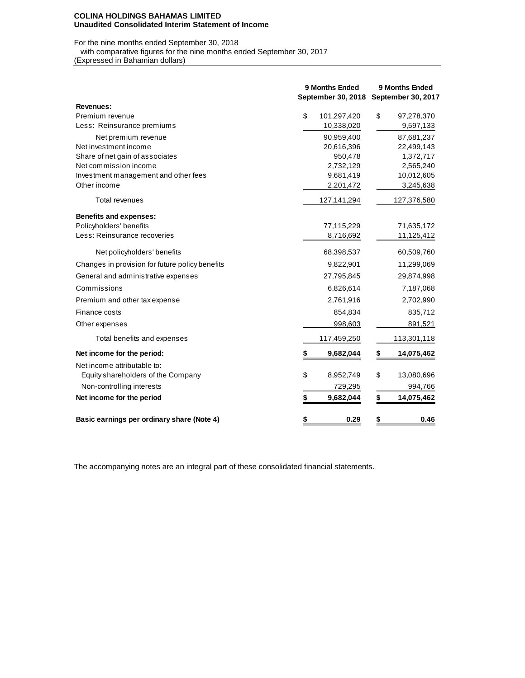#### **COLINA HOLDINGS BAHAMAS LIMITED Unaudited Consolidated Interim Statement of Income**

# For the nine months ended September 30, 2018

 with comparative figures for the nine months ended September 30, 2017 (Expressed in Bahamian dollars)

|                                                 | <b>9 Months Ended</b><br><b>September 30, 2018</b> | 9 Months Ended<br>September 30, 2017 |
|-------------------------------------------------|----------------------------------------------------|--------------------------------------|
| Revenues:                                       |                                                    |                                      |
| Premium revenue                                 | \$<br>101,297,420                                  | \$<br>97,278,370                     |
| Less: Reinsurance premiums                      | 10,338,020                                         | 9,597,133                            |
| Net premium revenue                             | 90,959,400                                         | 87,681,237                           |
| Net investment income                           | 20,616,396                                         | 22,499,143                           |
| Share of net gain of associates                 | 950,478                                            | 1,372,717                            |
| Net commission income                           | 2,732,129                                          | 2,565,240                            |
| Investment management and other fees            | 9,681,419                                          | 10,012,605                           |
| Other income                                    | 2,201,472                                          | 3,245,638                            |
| Total revenues                                  | 127,141,294                                        | 127,376,580                          |
| <b>Benefits and expenses:</b>                   |                                                    |                                      |
| Policyholders' benefits                         | 77,115,229                                         | 71,635,172                           |
| Less: Reinsurance recoveries                    | 8,716,692                                          | 11,125,412                           |
| Net policyholders' benefits                     | 68,398,537                                         | 60,509,760                           |
| Changes in provision for future policy benefits | 9,822,901                                          | 11,299,069                           |
| General and administrative expenses             | 27,795,845                                         | 29,874,998                           |
| Commissions                                     | 6,826,614                                          | 7,187,068                            |
| Premium and other tax expense                   | 2,761,916                                          | 2,702,990                            |
| Finance costs                                   | 854,834                                            | 835,712                              |
| Other expenses                                  | 998,603                                            | 891,521                              |
| Total benefits and expenses                     | 117,459,250                                        | 113,301,118                          |
| Net income for the period:                      | \$<br>9,682,044                                    | \$<br>14,075,462                     |
| Net income attributable to:                     |                                                    |                                      |
| Equity shareholders of the Company              | \$<br>8,952,749                                    | \$<br>13,080,696                     |
| Non-controlling interests                       | 729,295                                            | 994,766                              |
| Net income for the period                       | \$<br>9,682,044                                    | \$<br>14,075,462                     |
| Basic earnings per ordinary share (Note 4)      | \$<br>0.29                                         | \$<br>0.46                           |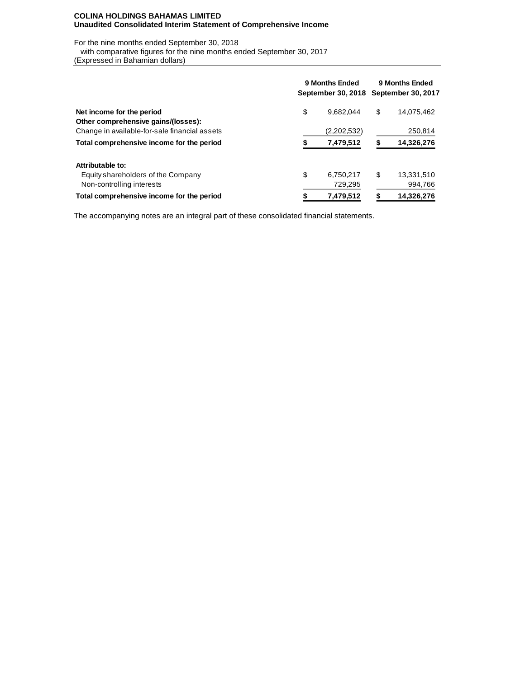## **COLINA HOLDINGS BAHAMAS LIMITED Unaudited Consolidated Interim Statement of Comprehensive Income**

For the nine months ended September 30, 2018

 with comparative figures for the nine months ended September 30, 2017 (Expressed in Bahamian dollars)

|                                               | 9 Months Ended | 9 Months Ended<br>September 30, 2018 September 30, 2017 |    |            |  |  |
|-----------------------------------------------|----------------|---------------------------------------------------------|----|------------|--|--|
| Net income for the period                     | \$             | 9.682.044                                               | \$ | 14.075.462 |  |  |
| Other comprehensive gains/(losses):           |                |                                                         |    |            |  |  |
| Change in available-for-sale financial assets |                | (2,202,532)                                             |    | 250,814    |  |  |
| Total comprehensive income for the period     |                | 7,479,512                                               | S  | 14,326,276 |  |  |
| Attributable to:                              |                |                                                         |    |            |  |  |
| Equity shareholders of the Company            | \$             | 6.750.217                                               | \$ | 13.331.510 |  |  |
| Non-controlling interests                     |                | 729,295                                                 |    | 994,766    |  |  |
| Total comprehensive income for the period     | \$             | 7.479.512                                               | S  | 14,326,276 |  |  |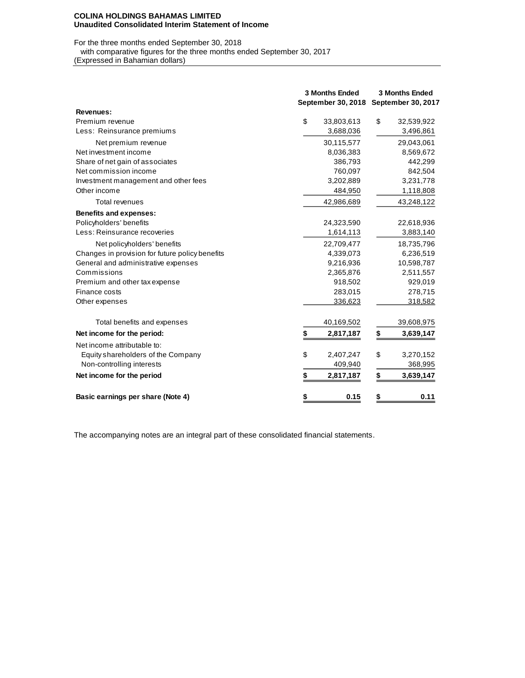#### **COLINA HOLDINGS BAHAMAS LIMITED Unaudited Consolidated Interim Statement of Income**

For the three months ended September 30, 2018

with comparative figures for the three months ended September 30, 2017

(Expressed in Bahamian dollars)

|                                                 |    | <b>3 Months Ended</b>                 | <b>3 Months Ended</b> |            |  |  |  |
|-------------------------------------------------|----|---------------------------------------|-----------------------|------------|--|--|--|
|                                                 |    | September 30, 2018 September 30, 2017 |                       |            |  |  |  |
| Revenues:                                       |    |                                       |                       |            |  |  |  |
| Premium revenue                                 | \$ | 33,803,613                            | \$                    | 32,539,922 |  |  |  |
| Less: Reinsurance premiums                      |    | 3,688,036                             |                       | 3,496,861  |  |  |  |
| Net premium revenue                             |    | 30,115,577                            |                       | 29,043,061 |  |  |  |
| Net investment income                           |    | 8,036,383                             |                       | 8,569,672  |  |  |  |
| Share of net gain of associates                 |    | 386,793                               |                       | 442,299    |  |  |  |
| Net commission income                           |    | 760,097                               |                       | 842,504    |  |  |  |
| Investment management and other fees            |    | 3,202,889                             |                       | 3,231,778  |  |  |  |
| Other income                                    |    | 484,950                               |                       | 1,118,808  |  |  |  |
| Total revenues                                  |    | 42,986,689                            |                       | 43,248,122 |  |  |  |
| <b>Benefits and expenses:</b>                   |    |                                       |                       |            |  |  |  |
| Policyholders' benefits                         |    | 24,323,590                            |                       | 22,618,936 |  |  |  |
| Less: Reinsurance recoveries                    |    | 1,614,113                             |                       | 3,883,140  |  |  |  |
| Net policyholders' benefits                     |    | 22,709,477                            |                       | 18,735,796 |  |  |  |
| Changes in provision for future policy benefits |    | 4,339,073                             |                       | 6,236,519  |  |  |  |
| General and administrative expenses             |    | 9,216,936                             |                       | 10,598,787 |  |  |  |
| Commissions                                     |    | 2,365,876                             |                       | 2,511,557  |  |  |  |
| Premium and other tax expense                   |    | 918,502                               |                       | 929,019    |  |  |  |
| Finance costs                                   |    | 283,015                               |                       | 278,715    |  |  |  |
| Other expenses                                  |    | 336,623                               |                       | 318,582    |  |  |  |
| Total benefits and expenses                     |    | 40,169,502                            |                       | 39,608,975 |  |  |  |
| Net income for the period:                      | S  | 2,817,187                             | \$                    | 3,639,147  |  |  |  |
| Net income attributable to:                     |    |                                       |                       |            |  |  |  |
| Equity shareholders of the Company              | \$ | 2,407,247                             | \$                    | 3,270,152  |  |  |  |
| Non-controlling interests                       |    | 409,940                               |                       | 368,995    |  |  |  |
| Net income for the period                       | \$ | 2,817,187                             | \$                    | 3,639,147  |  |  |  |
| Basic earnings per share (Note 4)               | \$ | 0.15                                  | \$                    | 0.11       |  |  |  |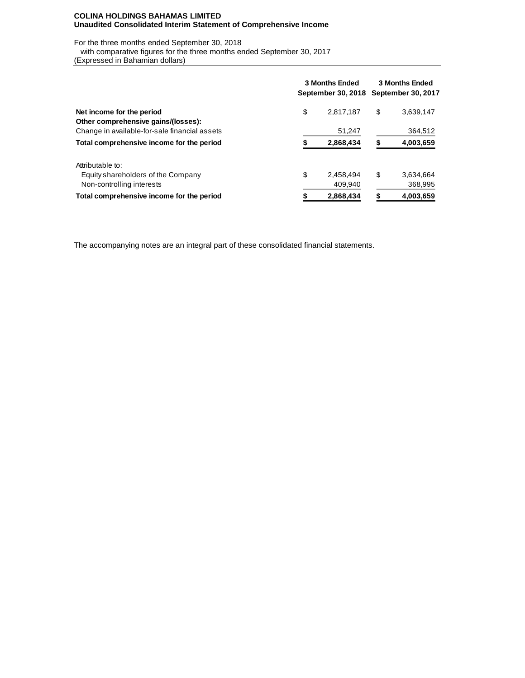## **COLINA HOLDINGS BAHAMAS LIMITED Unaudited Consolidated Interim Statement of Comprehensive Income**

For the three months ended September 30, 2018

 with comparative figures for the three months ended September 30, 2017 (Expressed in Bahamian dollars)

|                                               | <b>3 Months Ended</b><br>September 30, 2018 | <b>3 Months Ended</b><br><b>September 30, 2017</b> |    |           |  |  |
|-----------------------------------------------|---------------------------------------------|----------------------------------------------------|----|-----------|--|--|
| Net income for the period                     | \$                                          | 2.817.187                                          | \$ | 3,639,147 |  |  |
| Other comprehensive gains/(losses):           |                                             |                                                    |    |           |  |  |
| Change in available-for-sale financial assets |                                             | 51,247                                             |    | 364,512   |  |  |
| Total comprehensive income for the period     |                                             | 2,868,434                                          |    | 4,003,659 |  |  |
| Attributable to:                              |                                             |                                                    |    |           |  |  |
| Equity shareholders of the Company            | \$                                          | 2.458.494                                          | \$ | 3.634.664 |  |  |
| Non-controlling interests                     |                                             | 409.940                                            |    | 368,995   |  |  |
| Total comprehensive income for the period     |                                             | 2,868,434                                          |    | 4,003,659 |  |  |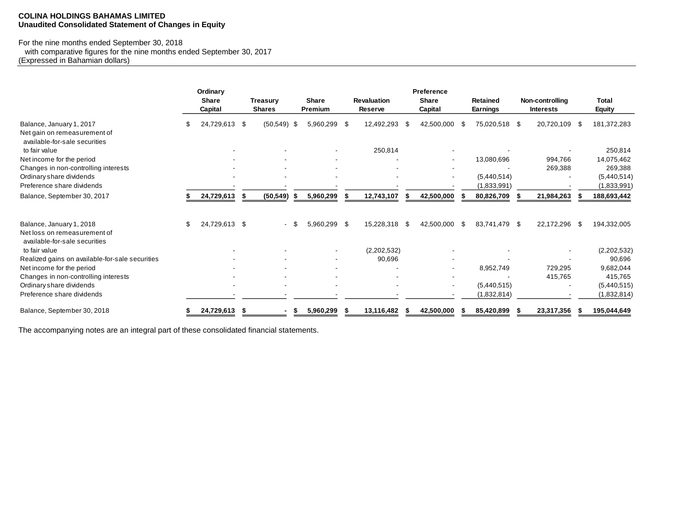## **COLINA HOLDINGS BAHAMAS LIMITED Unaudited Consolidated Statement of Changes in Equity**

#### For the nine months ended September 30, 2018

 with comparative figures for the nine months ended September 30, 2017 (Expressed in Bahamian dollars)

|                                                                              | Ordinary<br><b>Share</b><br>Capital |      | <b>Treasury</b><br><b>Shares</b> |    | <b>Share</b><br>Premium |      | <b>Revaluation</b><br><b>Reserve</b> |     | Preference<br><b>Share</b><br>Capital |     | <b>Retained</b><br><b>Earnings</b> | Non-controlling<br><b>Interests</b> |      | <b>Total</b><br><b>Equity</b> |
|------------------------------------------------------------------------------|-------------------------------------|------|----------------------------------|----|-------------------------|------|--------------------------------------|-----|---------------------------------------|-----|------------------------------------|-------------------------------------|------|-------------------------------|
| Balance, January 1, 2017                                                     | 24,729,613                          | -\$  | (50, 549)                        | -S | 5,960,299               | - \$ | 12,492,293                           | -\$ | 42,500,000                            | S.  | 75,020,518 \$                      | 20,720,109                          | - SS | 181,372,283                   |
| Net gain on remeasurement of                                                 |                                     |      |                                  |    |                         |      |                                      |     |                                       |     |                                    |                                     |      |                               |
| available-for-sale securities<br>to fair value                               |                                     |      |                                  |    |                         |      | 250,814                              |     |                                       |     |                                    |                                     |      | 250,814                       |
| Net income for the period                                                    |                                     |      |                                  |    |                         |      |                                      |     | $\blacksquare$                        |     | 13,080,696                         | 994,766                             |      | 14,075,462                    |
| Changes in non-controlling interests                                         |                                     |      |                                  |    |                         |      |                                      |     |                                       |     |                                    | 269,388                             |      | 269,388                       |
| Ordinary share dividends                                                     |                                     |      |                                  |    |                         |      |                                      |     | $\overline{\phantom{a}}$              |     | (5,440,514)                        |                                     |      | (5,440,514)                   |
| Preference share dividends                                                   |                                     |      |                                  |    |                         |      |                                      |     |                                       |     | (1,833,991)                        |                                     |      | (1,833,991)                   |
| Balance, September 30, 2017                                                  | 24,729,613                          | - \$ | (50, 549)                        | S  | 5,960,299               |      | 12,743,107                           | -55 | 42,500,000                            |     | 80,826,709                         | 21,984,263                          |      | 188,693,442                   |
| Balance, January 1, 2018                                                     | \$<br>24,729,613 \$                 |      |                                  |    | 5,960,299 \$            |      | 15,228,318                           | -\$ | 42,500,000                            | -SS | 83,741,479 \$                      | 22,172,296                          | - \$ | 194,332,005                   |
| Net loss on remeasurement of<br>available-for-sale securities                |                                     |      |                                  |    |                         |      |                                      |     |                                       |     |                                    |                                     |      |                               |
| to fair value                                                                |                                     |      |                                  |    |                         |      | (2,202,532)                          |     |                                       |     |                                    |                                     |      | (2,202,532)                   |
| Realized gains on available-for-sale securities<br>Net income for the period |                                     |      |                                  |    |                         |      | 90,696                               |     |                                       |     | 8,952,749                          | 729,295                             |      | 90,696<br>9,682,044           |
| Changes in non-controlling interests                                         |                                     |      |                                  |    |                         |      |                                      |     |                                       |     |                                    | 415,765                             |      | 415,765                       |
| Ordinary share dividends                                                     |                                     |      |                                  |    |                         |      |                                      |     |                                       |     | (5,440,515)                        |                                     |      | (5,440,515)                   |
| Preference share dividends                                                   |                                     |      |                                  |    |                         |      |                                      |     |                                       |     | (1,832,814)                        |                                     |      | (1,832,814)                   |
| Balance, September 30, 2018                                                  | 24,729,613                          | Ъ    |                                  | -S | 5,960,299               |      | 13,116,482                           |     | 42,500,000                            |     | 85,420,899                         | 23,317,356                          |      | 195,044,649                   |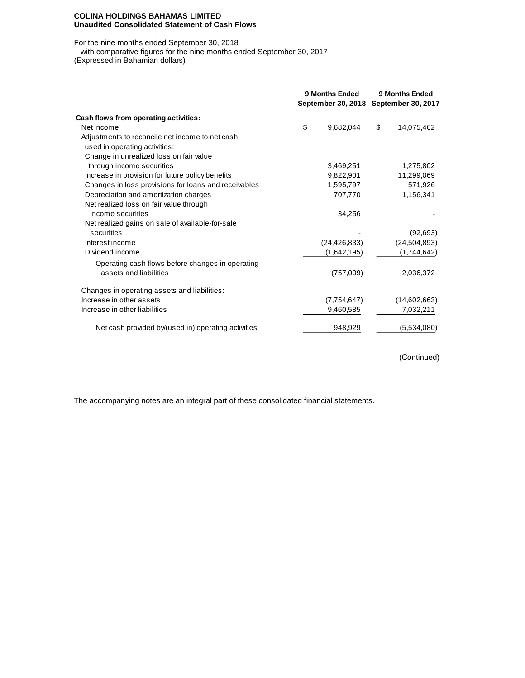#### **COLINA HOLDINGS BAHAMAS LIMITED Unaudited Consolidated Statement of Cash Flows**

## For the nine months ended September 30, 2018

with comparative figures for the nine months ended September 30, 2017

(Expressed in Bahamian dollars)

|                                                      | 9 Months Ended<br>September 30, 2018 September 30, 2017 |                | 9 Months Ended   |
|------------------------------------------------------|---------------------------------------------------------|----------------|------------------|
| Cash flows from operating activities:                |                                                         |                |                  |
| Net income                                           | \$                                                      | 9.682.044      | \$<br>14,075,462 |
| Adjustments to reconcile net income to net cash      |                                                         |                |                  |
| used in operating activities:                        |                                                         |                |                  |
| Change in unrealized loss on fair value              |                                                         |                |                  |
| through income securities                            |                                                         | 3,469,251      | 1,275,802        |
| Increase in provision for future policy benefits     |                                                         | 9,822,901      | 11,299,069       |
| Changes in loss provisions for loans and receivables |                                                         | 1,595,797      | 571,926          |
| Depreciation and amortization charges                |                                                         | 707,770        | 1,156,341        |
| Net realized loss on fair value through              |                                                         |                |                  |
| income securities                                    |                                                         | 34.256         |                  |
| Net realized gains on sale of available-for-sale     |                                                         |                |                  |
| securities                                           |                                                         |                | (92, 693)        |
| Interest income                                      |                                                         | (24, 426, 833) | (24, 504, 893)   |
| Dividend income                                      |                                                         | (1,642,195)    | (1,744,642)      |
| Operating cash flows before changes in operating     |                                                         |                |                  |
| assets and liabilities                               |                                                         | (757,009)      | 2,036,372        |
| Changes in operating assets and liabilities:         |                                                         |                |                  |
| Increase in other assets                             |                                                         | (7,754,647)    | (14,602,663)     |
| Increase in other liabilities                        |                                                         | 9,460,585      | 7,032,211        |
| Net cash provided by/(used in) operating activities  |                                                         | 948,929        | (5,534,080)      |

(Continued)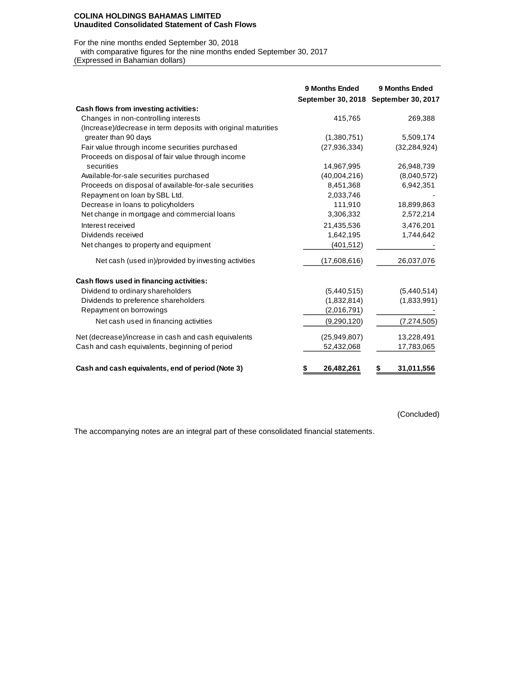#### **COLINA HOLDINGS BAHAMAS LIMITED Unaudited Consolidated Statement of Cash Flows**

## For the nine months ended September 30, 2018

with comparative figures for the nine months ended September 30, 2017

(Expressed in Bahamian dollars)

|                                                               | 9 Months Ended  | 9 Months Ended<br>September 30, 2018 September 30, 2017 |
|---------------------------------------------------------------|-----------------|---------------------------------------------------------|
| Cash flows from investing activities:                         |                 |                                                         |
| Changes in non-controlling interests                          | 415,765         | 269,388                                                 |
| (Increase)/decrease in term deposits with original maturities |                 |                                                         |
| greater than 90 days                                          | (1,380,751)     | 5,509,174                                               |
| Fair value through income securities purchased                | (27, 936, 334)  | (32, 284, 924)                                          |
| Proceeds on disposal of fair value through income             |                 |                                                         |
| securities                                                    | 14,967,995      | 26,948,739                                              |
| Available-for-sale securities purchased                       | (40,004,216)    | (8,040,572)                                             |
| Proceeds on disposal of available-for-sale securities         | 8,451,368       | 6,942,351                                               |
| Repayment on loan by SBL Ltd.                                 | 2,033,746       |                                                         |
| Decrease in loans to policyholders                            | 111,910         | 18,899,863                                              |
| Net change in mortgage and commercial loans                   | 3,306,332       | 2,572,214                                               |
| Interest received                                             | 21,435,536      | 3,476,201                                               |
| Dividends received                                            | 1,642,195       | 1,744,642                                               |
| Net changes to property and equipment                         | (401, 512)      |                                                         |
| Net cash (used in)/provided by investing activities           | (17,608,616)    | 26,037,076                                              |
| Cash flows used in financing activities:                      |                 |                                                         |
| Dividend to ordinary shareholders                             | (5,440,515)     | (5,440,514)                                             |
| Dividends to preference shareholders                          | (1,832,814)     | (1,833,991)                                             |
| Repayment on borrowings                                       | (2,016,791)     |                                                         |
| Net cash used in financing activities                         | (9,290,120)     | (7, 274, 505)                                           |
| Net (decrease)/increase in cash and cash equivalents          | (25,949,807)    | 13,228,491                                              |
| Cash and cash equivalents, beginning of period                | 52,432,068      | 17,783,065                                              |
| Cash and cash equivalents, end of period (Note 3)             | 26,482,261<br>S | 31,011,556<br>\$                                        |

(Concluded)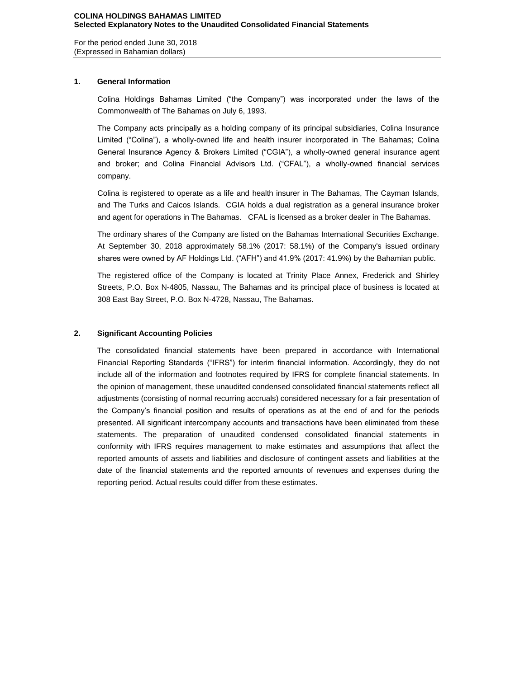For the period ended June 30, 2018 (Expressed in Bahamian dollars)

## **1. General Information**

Colina Holdings Bahamas Limited ("the Company") was incorporated under the laws of the Commonwealth of The Bahamas on July 6, 1993.

The Company acts principally as a holding company of its principal subsidiaries, Colina Insurance Limited ("Colina"), a wholly-owned life and health insurer incorporated in The Bahamas; Colina General Insurance Agency & Brokers Limited ("CGIA"), a wholly-owned general insurance agent and broker; and Colina Financial Advisors Ltd. ("CFAL"), a wholly-owned financial services company.

Colina is registered to operate as a life and health insurer in The Bahamas, The Cayman Islands, and The Turks and Caicos Islands. CGIA holds a dual registration as a general insurance broker and agent for operations in The Bahamas. CFAL is licensed as a broker dealer in The Bahamas.

The ordinary shares of the Company are listed on the Bahamas International Securities Exchange. At September 30, 2018 approximately 58.1% (2017: 58.1%) of the Company's issued ordinary shares were owned by AF Holdings Ltd. ("AFH") and 41.9% (2017: 41.9%) by the Bahamian public.

The registered office of the Company is located at Trinity Place Annex, Frederick and Shirley Streets, P.O. Box N-4805, Nassau, The Bahamas and its principal place of business is located at 308 East Bay Street, P.O. Box N-4728, Nassau, The Bahamas.

## **2. Significant Accounting Policies**

The consolidated financial statements have been prepared in accordance with International Financial Reporting Standards ("IFRS") for interim financial information. Accordingly, they do not include all of the information and footnotes required by IFRS for complete financial statements. In the opinion of management, these unaudited condensed consolidated financial statements reflect all adjustments (consisting of normal recurring accruals) considered necessary for a fair presentation of the Company's financial position and results of operations as at the end of and for the periods presented. All significant intercompany accounts and transactions have been eliminated from these statements. The preparation of unaudited condensed consolidated financial statements in conformity with IFRS requires management to make estimates and assumptions that affect the reported amounts of assets and liabilities and disclosure of contingent assets and liabilities at the date of the financial statements and the reported amounts of revenues and expenses during the reporting period. Actual results could differ from these estimates.